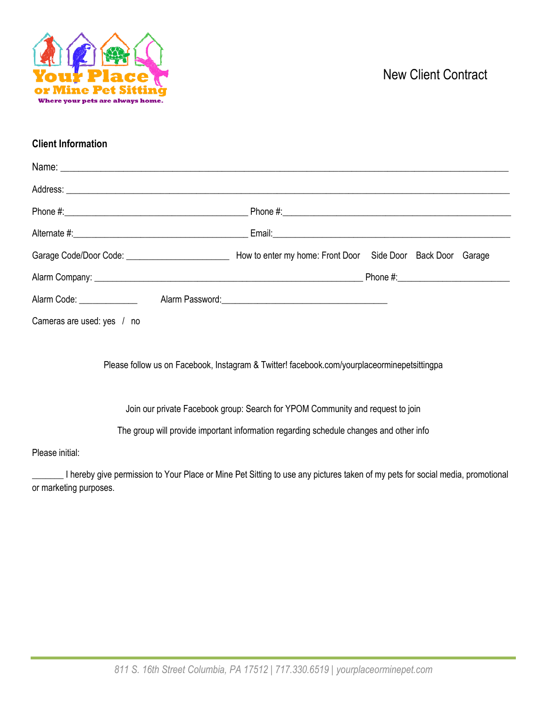

# New Client Contract

### **Client Information**

| Garage Code/Door Code: _________________________<br>How to enter my home: Front Door Side Door Back Door Garage |
|-----------------------------------------------------------------------------------------------------------------|
|                                                                                                                 |
|                                                                                                                 |
|                                                                                                                 |
|                                                                                                                 |

Please follow us on Facebook, Instagram & Twitter! facebook.com/yourplaceorminepetsittingpa

Join our private Facebook group: Search for YPOM Community and request to join

The group will provide important information regarding schedule changes and other info

#### Please initial:

\_\_\_\_\_\_\_ I hereby give permission to Your Place or Mine Pet Sitting to use any pictures taken of my pets for social media, promotional or marketing purposes.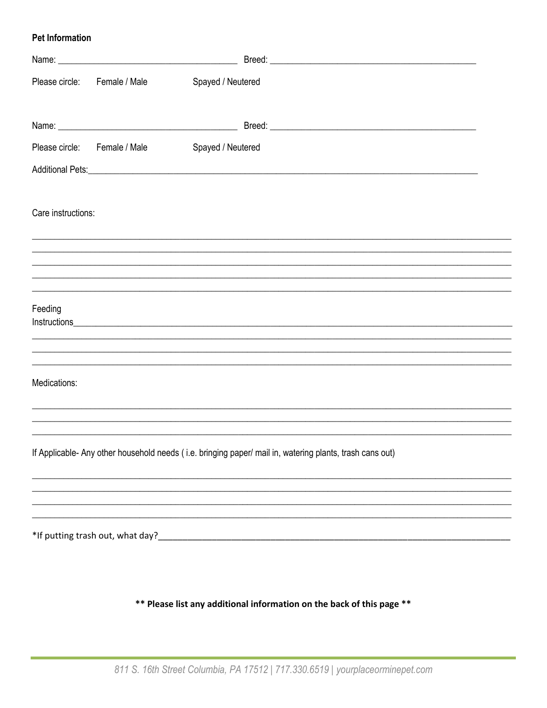### **Pet Information**

|                    | Please circle: Female / Male | Spayed / Neutered                                                                                                                                                                            |  |
|--------------------|------------------------------|----------------------------------------------------------------------------------------------------------------------------------------------------------------------------------------------|--|
|                    |                              |                                                                                                                                                                                              |  |
|                    | Please circle: Female / Male | Spayed / Neutered                                                                                                                                                                            |  |
|                    |                              |                                                                                                                                                                                              |  |
| Care instructions: |                              |                                                                                                                                                                                              |  |
|                    |                              |                                                                                                                                                                                              |  |
|                    |                              |                                                                                                                                                                                              |  |
|                    |                              |                                                                                                                                                                                              |  |
| Feeding            |                              |                                                                                                                                                                                              |  |
|                    |                              |                                                                                                                                                                                              |  |
|                    |                              |                                                                                                                                                                                              |  |
| Medications:       |                              |                                                                                                                                                                                              |  |
|                    |                              |                                                                                                                                                                                              |  |
|                    |                              | ,我们也不会有什么。""我们的人,我们也不会有什么?""我们的人,我们也不会有什么?""我们的人,我们也不会有什么?""我们的人,我们也不会有什么?""我们的人<br>If Applicable- Any other household needs (i.e. bringing paper/ mail in, watering plants, trash cans out) |  |
|                    |                              |                                                                                                                                                                                              |  |
|                    |                              |                                                                                                                                                                                              |  |
|                    |                              |                                                                                                                                                                                              |  |
|                    |                              |                                                                                                                                                                                              |  |
|                    |                              |                                                                                                                                                                                              |  |

\*\* Please list any additional information on the back of this page \*\*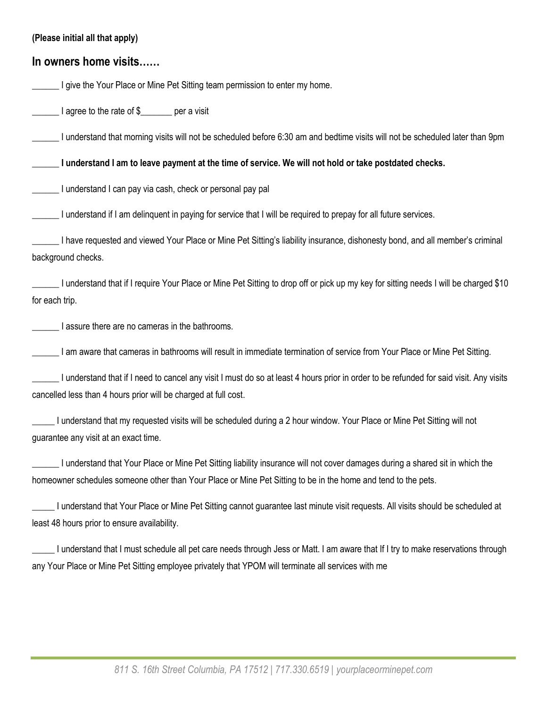| (Please initial all that apply)                                                                                                                                                                                                               |
|-----------------------------------------------------------------------------------------------------------------------------------------------------------------------------------------------------------------------------------------------|
| In owners home visits                                                                                                                                                                                                                         |
| I give the Your Place or Mine Pet Sitting team permission to enter my home.                                                                                                                                                                   |
| I agree to the rate of \$______ per a visit                                                                                                                                                                                                   |
| I understand that morning visits will not be scheduled before 6:30 am and bedtime visits will not be scheduled later than 9pm                                                                                                                 |
| I understand I am to leave payment at the time of service. We will not hold or take postdated checks.                                                                                                                                         |
| I understand I can pay via cash, check or personal pay pal                                                                                                                                                                                    |
| I understand if I am delinquent in paying for service that I will be required to prepay for all future services.                                                                                                                              |
| I have requested and viewed Your Place or Mine Pet Sitting's liability insurance, dishonesty bond, and all member's criminal<br>background checks.                                                                                            |
| I understand that if I require Your Place or Mine Pet Sitting to drop off or pick up my key for sitting needs I will be charged \$10<br>for each trip.                                                                                        |
| I assure there are no cameras in the bathrooms.                                                                                                                                                                                               |
| I am aware that cameras in bathrooms will result in immediate termination of service from Your Place or Mine Pet Sitting.                                                                                                                     |
| I understand that if I need to cancel any visit I must do so at least 4 hours prior in order to be refunded for said visit. Any visits<br>cancelled less than 4 hours prior will be charged at full cost.                                     |
| I understand that my requested visits will be scheduled during a 2 hour window. Your Place or Mine Pet Sitting will not<br>guarantee any visit at an exact time.                                                                              |
| I understand that Your Place or Mine Pet Sitting liability insurance will not cover damages during a shared sit in which the<br>homeowner schedules someone other than Your Place or Mine Pet Sitting to be in the home and tend to the pets. |
| I understand that Your Place or Mine Pet Sitting cannot guarantee last minute visit requests. All visits should be scheduled at<br>least 48 hours prior to ensure availability.                                                               |
| I understand that I must schedule all pet care needs through Jess or Matt. I am aware that If I try to make reservations through<br>any Your Place or Mine Pet Sitting employee privately that YPOM will terminate all services with me       |
|                                                                                                                                                                                                                                               |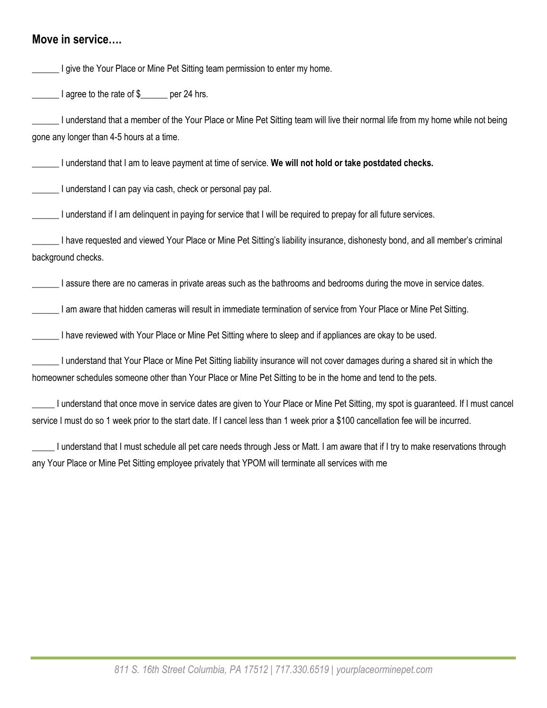### **Move in service….**

**The Your Place or Mine Pet Sitting team permission to enter my home.** I agree to the rate of \$ \_\_\_\_\_ per 24 hrs. \_\_\_\_\_\_ I understand that a member of the Your Place or Mine Pet Sitting team will live their normal life from my home while not being gone any longer than 4-5 hours at a time. \_\_\_\_\_\_ I understand that I am to leave payment at time of service. **We will not hold or take postdated checks.** \_\_\_\_\_\_ I understand I can pay via cash, check or personal pay pal. I understand if I am delinguent in paying for service that I will be required to prepay for all future services. \_\_\_\_\_\_ I have requested and viewed Your Place or Mine Pet Sitting's liability insurance, dishonesty bond, and all member's criminal background checks. \_\_\_\_\_\_ I assure there are no cameras in private areas such as the bathrooms and bedrooms during the move in service dates. I am aware that hidden cameras will result in immediate termination of service from Your Place or Mine Pet Sitting. I have reviewed with Your Place or Mine Pet Sitting where to sleep and if appliances are okay to be used. \_\_\_\_\_\_ I understand that Your Place or Mine Pet Sitting liability insurance will not cover damages during a shared sit in which the homeowner schedules someone other than Your Place or Mine Pet Sitting to be in the home and tend to the pets. \_\_\_\_\_ I understand that once move in service dates are given to Your Place or Mine Pet Sitting, my spot is guaranteed. If I must cancel service I must do so 1 week prior to the start date. If I cancel less than 1 week prior a \$100 cancellation fee will be incurred. \_\_\_\_\_ I understand that I must schedule all pet care needs through Jess or Matt. I am aware that if I try to make reservations through any Your Place or Mine Pet Sitting employee privately that YPOM will terminate all services with me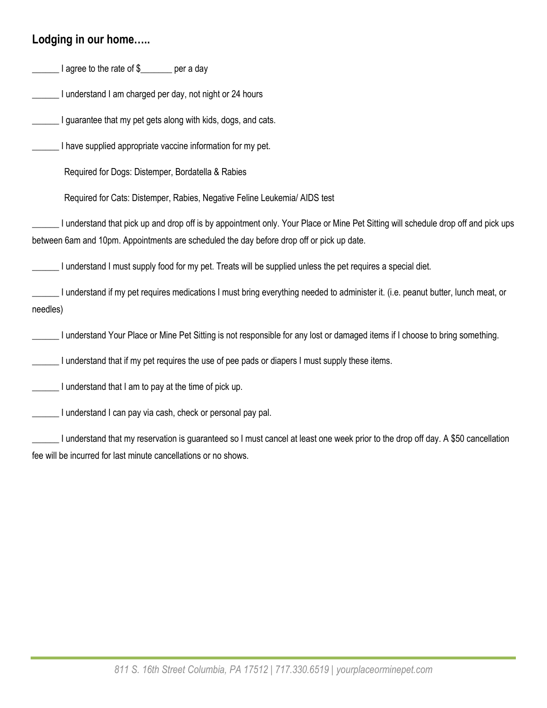## **Lodging in our home…..**

Letter 1 agree to the rate of \$

I understand I am charged per day, not night or 24 hours

I guarantee that my pet gets along with kids, dogs, and cats.

I have supplied appropriate vaccine information for my pet.

Required for Dogs: Distemper, Bordatella & Rabies

Required for Cats: Distemper, Rabies, Negative Feline Leukemia/ AIDS test

\_\_\_\_\_\_ I understand that pick up and drop off is by appointment only. Your Place or Mine Pet Sitting will schedule drop off and pick ups between 6am and 10pm. Appointments are scheduled the day before drop off or pick up date.

\_\_\_\_\_\_ I understand I must supply food for my pet. Treats will be supplied unless the pet requires a special diet.

I understand if my pet requires medications I must bring everything needed to administer it. (i.e. peanut butter, lunch meat, or needles)

\_\_\_\_\_\_ I understand Your Place or Mine Pet Sitting is not responsible for any lost or damaged items if I choose to bring something.

I understand that if my pet requires the use of pee pads or diapers I must supply these items.

I understand that I am to pay at the time of pick up.

\_\_\_\_\_\_ I understand I can pay via cash, check or personal pay pal.

\_\_\_\_\_\_ I understand that my reservation is guaranteed so I must cancel at least one week prior to the drop off day. A \$50 cancellation fee will be incurred for last minute cancellations or no shows.